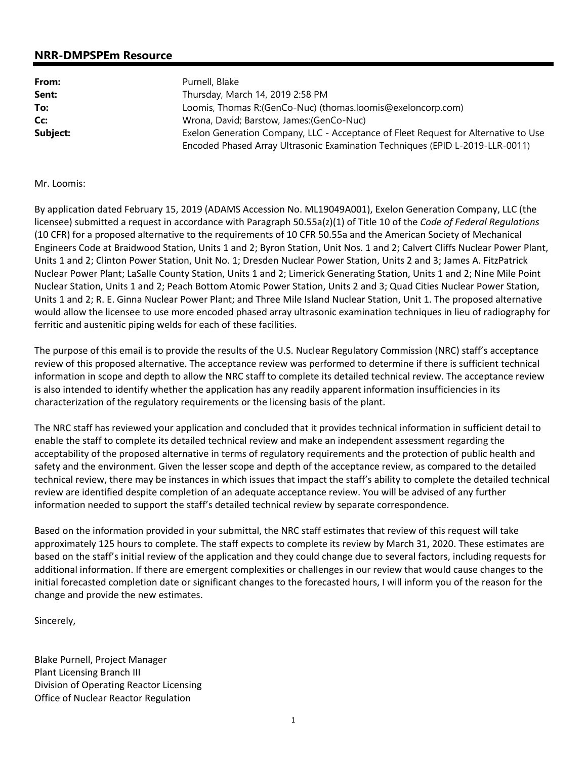## **NRR-DMPSPEm Resource**

| From:    | Purnell, Blake                                                                      |  |  |
|----------|-------------------------------------------------------------------------------------|--|--|
| Sent:    | Thursday, March 14, 2019 2:58 PM                                                    |  |  |
| To:      | Loomis, Thomas R:(GenCo-Nuc) (thomas.loomis@exeloncorp.com)                         |  |  |
| Cc:      | Wrona, David; Barstow, James: (GenCo-Nuc)                                           |  |  |
| Subject: | Exelon Generation Company, LLC - Acceptance of Fleet Request for Alternative to Use |  |  |
|          | Encoded Phased Array Ultrasonic Examination Techniques (EPID L-2019-LLR-0011)       |  |  |

## Mr. Loomis:

By application dated February 15, 2019 (ADAMS Accession No. ML19049A001), Exelon Generation Company, LLC (the licensee) submitted a request in accordance with Paragraph 50.55a(z)(1) of Title 10 of the *Code of Federal Regulations* (10 CFR) for a proposed alternative to the requirements of 10 CFR 50.55a and the American Society of Mechanical Engineers Code at Braidwood Station, Units 1 and 2; Byron Station, Unit Nos. 1 and 2; Calvert Cliffs Nuclear Power Plant, Units 1 and 2; Clinton Power Station, Unit No. 1; Dresden Nuclear Power Station, Units 2 and 3; James A. FitzPatrick Nuclear Power Plant; LaSalle County Station, Units 1 and 2; Limerick Generating Station, Units 1 and 2; Nine Mile Point Nuclear Station, Units 1 and 2; Peach Bottom Atomic Power Station, Units 2 and 3; Quad Cities Nuclear Power Station, Units 1 and 2; R. E. Ginna Nuclear Power Plant; and Three Mile Island Nuclear Station, Unit 1. The proposed alternative would allow the licensee to use more encoded phased array ultrasonic examination techniques in lieu of radiography for ferritic and austenitic piping welds for each of these facilities.

The purpose of this email is to provide the results of the U.S. Nuclear Regulatory Commission (NRC) staff's acceptance review of this proposed alternative. The acceptance review was performed to determine if there is sufficient technical information in scope and depth to allow the NRC staff to complete its detailed technical review. The acceptance review is also intended to identify whether the application has any readily apparent information insufficiencies in its characterization of the regulatory requirements or the licensing basis of the plant.

The NRC staff has reviewed your application and concluded that it provides technical information in sufficient detail to enable the staff to complete its detailed technical review and make an independent assessment regarding the acceptability of the proposed alternative in terms of regulatory requirements and the protection of public health and safety and the environment. Given the lesser scope and depth of the acceptance review, as compared to the detailed technical review, there may be instances in which issues that impact the staff's ability to complete the detailed technical review are identified despite completion of an adequate acceptance review. You will be advised of any further information needed to support the staff's detailed technical review by separate correspondence.

Based on the information provided in your submittal, the NRC staff estimates that review of this request will take approximately 125 hours to complete. The staff expects to complete its review by March 31, 2020. These estimates are based on the staff's initial review of the application and they could change due to several factors, including requests for additional information. If there are emergent complexities or challenges in our review that would cause changes to the initial forecasted completion date or significant changes to the forecasted hours, I will inform you of the reason for the change and provide the new estimates.

Sincerely,

Blake Purnell, Project Manager Plant Licensing Branch III Division of Operating Reactor Licensing Office of Nuclear Reactor Regulation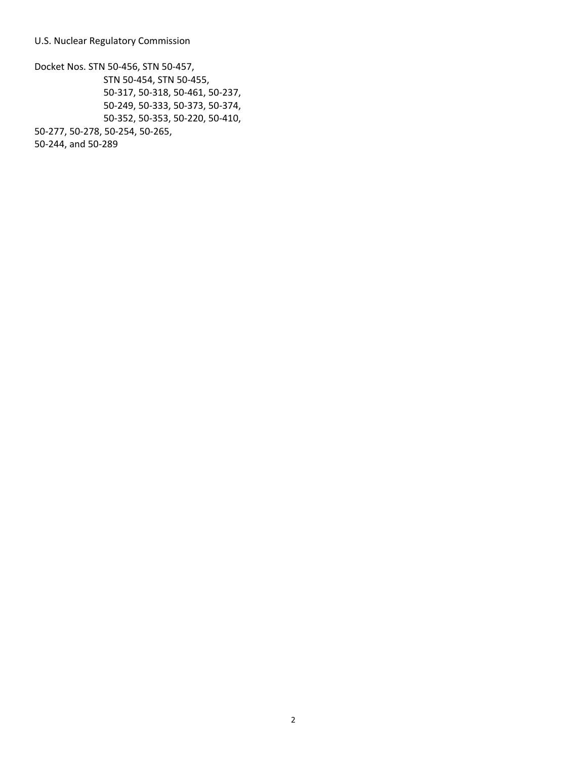U.S. Nuclear Regulatory Commission

Docket Nos. STN 50-456, STN 50-457, STN 50-454, STN 50-455, 50-317, 50-318, 50-461, 50-237, 50-249, 50-333, 50-373, 50-374, 50-352, 50-353, 50-220, 50-410, 50-277, 50-278, 50-254, 50-265, 50-244, and 50-289